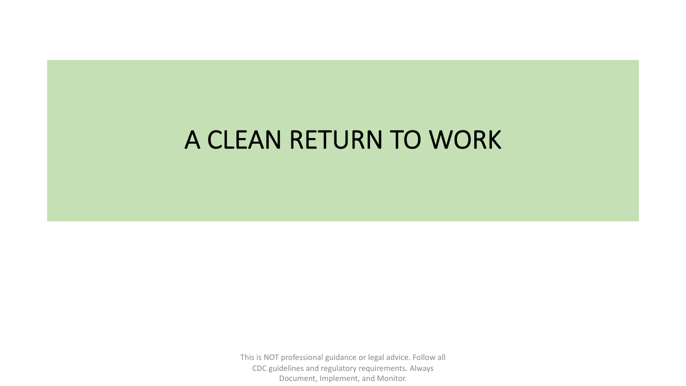### A CLEAN RETURN TO WORK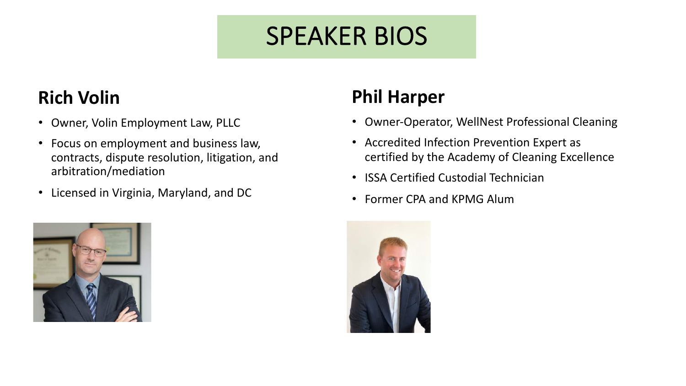# SPEAKER BIOS

### **Rich Volin**

- Owner, Volin Employment Law, PLLC
- Focus on employment and business law, contracts, dispute resolution, litigation, and arbitration/mediation
- Licensed in Virginia, Maryland, and DC



### **Phil Harper**

- Owner-Operator, WellNest Professional Cleaning
- Accredited Infection Prevention Expert as certified by the Academy of Cleaning Excellence
- ISSA Certified Custodial Technician
- Former CPA and KPMG Alum

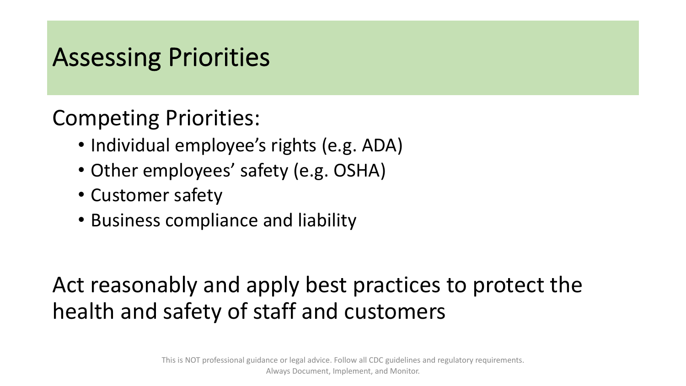### Assessing Priorities

### Competing Priorities:

- Individual employee's rights (e.g. ADA)
- Other employees' safety (e.g. OSHA)
- Customer safety
- Business compliance and liability

### Act reasonably and apply best practices to protect the health and safety of staff and customers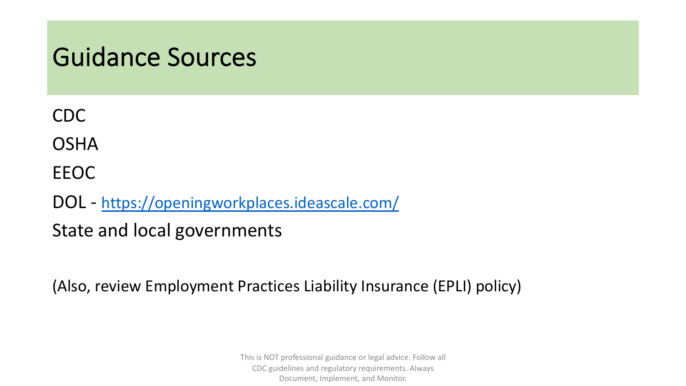### Guidance Sources

CDC

**OSHA** 

EEOC

DOL - <https://openingworkplaces.ideascale.com/>

State and local governments

(Also, review Employment Practices Liability Insurance (EPLI) policy)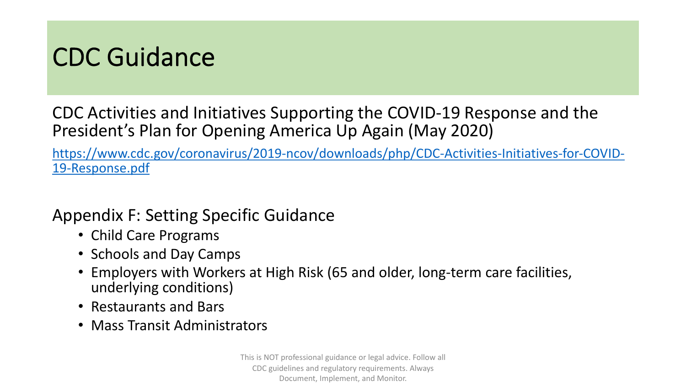### CDC Guidance

CDC Activities and Initiatives Supporting the COVID-19 Response and the President's Plan for Opening America Up Again (May 2020)

[https://www.cdc.gov/coronavirus/2019-ncov/downloads/php/CDC-Activities-Initiatives-for-COVID-](https://www.cdc.gov/coronavirus/2019-ncov/downloads/php/CDC-Activities-Initiatives-for-COVID-19-Response.pdf)19-Response.pdf

### Appendix F: Setting Specific Guidance

- Child Care Programs
- Schools and Day Camps
- Employers with Workers at High Risk (65 and older, long-term care facilities, underlying conditions)
- Restaurants and Bars
- Mass Transit Administrators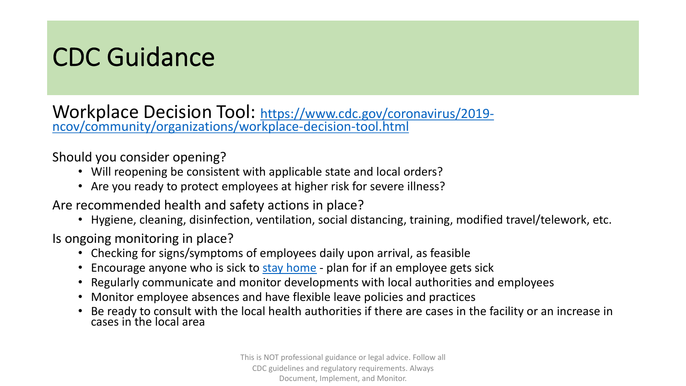## CDC Guidance

[Workplace Decision Tool: https://www.cdc.gov/coronavirus/2019-](https://www.cdc.gov/coronavirus/2019-ncov/community/organizations/workplace-decision-tool.html)<br>ncov/community/organizations/workplace-decision-tool.html

Should you consider opening?

- Will reopening be consistent with applicable state and local orders?
- Are you ready to protect employees at higher risk for severe illness?

Are recommended health and safety actions in place?

• Hygiene, cleaning, disinfection, ventilation, social distancing, training, modified travel/telework, etc.

Is ongoing monitoring in place?

- Checking for signs/symptoms of employees daily upon arrival, as feasible
- Encourage anyone who is sick to [stay home](https://www.cdc.gov/coronavirus/2019-ncov/if-you-are-sick/steps-when-sick.html) plan for if an employee gets sick
- Regularly communicate and monitor developments with local authorities and employees
- Monitor employee absences and have flexible leave policies and practices
- Be ready to consult with the local health authorities if there are cases in the facility or an increase in cases in the local area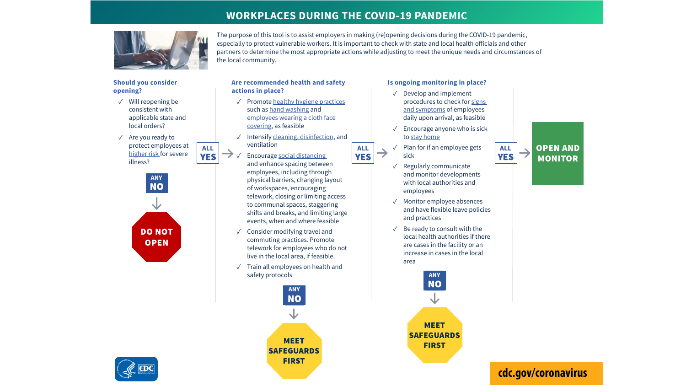#### **WORKPLACES DURING THE COVID-19 PANDEMIC**

The purpose of this tool is to assist employers in making (re)opening decisions during the COVID-19 pandemic, especially to protect vulnerable workers. It is important to check with state and local health officials and other partners to determine the most appropriate actions while adjusting to meet the unique needs and circumstances of



**Should you consider opening?**

- $\sqrt{\ }$  Will reopening be consistent with applicable state and local orders?
- ܁ Are you ready to protect employees at higher risk for severe illness?





#### **Are recommended health and safety actions in place?**

the local community.

- $\sqrt{ }$  Promote healthy hygiene practices such as hand washing and employees wearing a cloth face covering, as feasible
- $\sqrt{ }$  Intensify cleaning, disinfection, and ventilation
- $\rightarrow \sqrt{ }$  Encourage social distancing and enhance spacing between employees, including through physical barriers, changing layout of workspaces, encouraging telework, closing or limiting access to communal spaces, staggering shifts and breaks, and limiting large events, when and where feasible
	- ܁ Consider modifying travel and commuting practices. Promote telework for employees who do not live in the local area, if feasible.
	- $\sqrt{ }$  Train all employees on health and safety protocols



#### **Is ongoing monitoring in place?**

- $\sqrt{\phantom{a}}$  Develop and implement procedures to check for signs and symptoms of employees daily upon arrival, as feasible
- $\sqrt{\phantom{a}}$  Encourage anyone who is sick to stay home
- **ALL ALL ALL ALL ALL ALL ALL ALL ALL** sick
	- ܁ Regularly communicate and monitor developments with local authorities and employees
	- ܁ Monitor employee absences and have flexible leave policies and practices
	- $\sqrt{\phantom{a}}$  Be ready to consult with the local health authorities if there are cases in the facility or an increase in cases in the local area

**ANY**

**NO** 

MEET SAFEGUARDS FIRST

OPEN AND  $\rightarrow$ **MONITOR** 

#### **cdc.gov/coronavirus**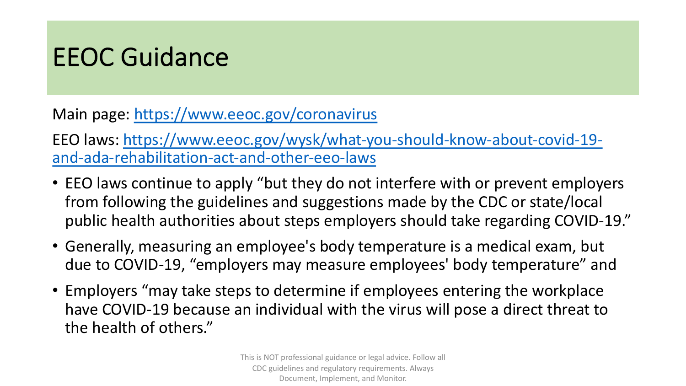## EEOC Guidance

Main page:<https://www.eeoc.gov/coronavirus>

[EEO laws: https://www.eeoc.gov/wysk/what-you-should-know-about-covid-19](https://www.eeoc.gov/wysk/what-you-should-know-about-covid-19-and-ada-rehabilitation-act-and-other-eeo-laws) and-ada-rehabilitation-act-and-other-eeo-laws

- EEO laws continue to apply "but they do not interfere with or prevent employers from following the guidelines and suggestions made by the CDC or state/local public health authorities about steps employers should take regarding COVID-19."
- Generally, measuring an employee's body temperature is a medical exam, but due to COVID-19, "employers may measure employees' body temperature" and
- Employers "may take steps to determine if employees entering the workplace have COVID-19 because an individual with the virus will pose a direct threat to the health of others."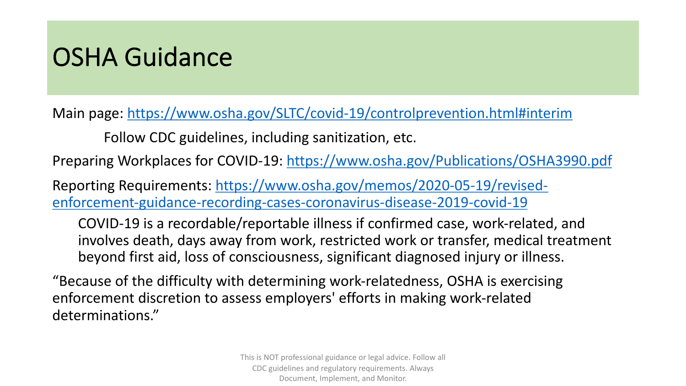## OSHA Guidance

Main page: [https://www.osha.gov/SLTC/covid-19/controlprevention.html#interim](https://www.osha.gov/SLTC/covid-19/controlprevention.html)

Follow CDC guidelines, including sanitization, etc.

Preparing Workplaces for COVID-19:<https://www.osha.gov/Publications/OSHA3990.pdf>

[Reporting Requirements: https://www.osha.gov/memos/2020-05-19/revised](https://www.osha.gov/memos/2020-05-19/revised-enforcement-guidance-recording-cases-coronavirus-disease-2019-covid-19)enforcement-guidance-recording-cases-coronavirus-disease-2019-covid-19

COVID-19 is a recordable/reportable illness if confirmed case, work-related, and involves death, days away from work, restricted work or transfer, medical treatment beyond first aid, loss of consciousness, significant diagnosed injury or illness.

"Because of the difficulty with determining work-relatedness, OSHA is exercising enforcement discretion to assess employers' efforts in making work-related determinations."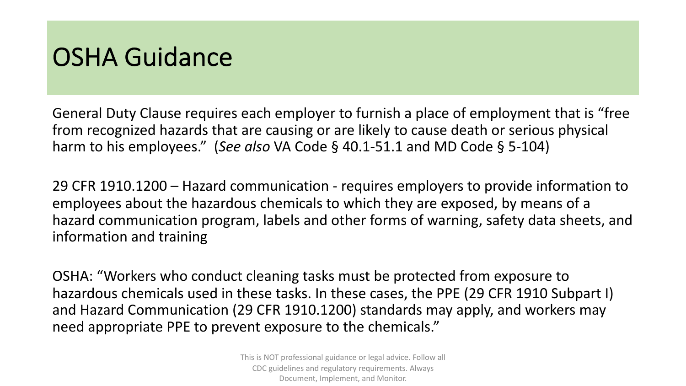### OSHA Guidance

General Duty Clause requires each employer to furnish a place of employment that is "free from recognized hazards that are causing or are likely to cause death or serious physical harm to his employees." (*See also* VA Code § 40.1-51.1 and MD Code § 5-104)

29 CFR 1910.1200 – Hazard communication - requires employers to provide information to employees about the hazardous chemicals to which they are exposed, by means of a hazard communication program, labels and other forms of warning, safety data sheets, and information and training

OSHA: "Workers who conduct cleaning tasks must be protected from exposure to hazardous chemicals used in these tasks. In these cases, the PPE (29 CFR 1910 Subpart I) and Hazard Communication (29 CFR 1910.1200) standards may apply, and workers may need appropriate PPE to prevent exposure to the chemicals."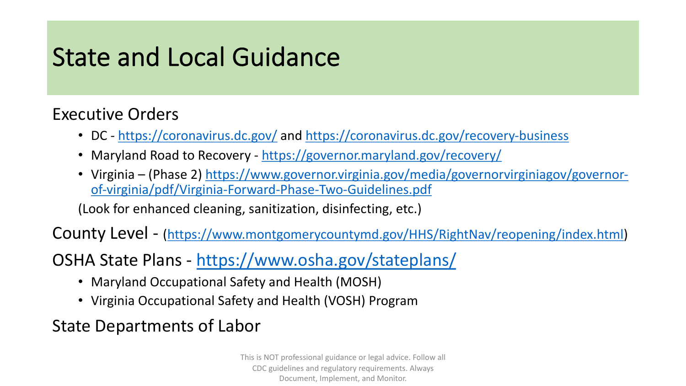## State and Local Guidance

### Executive Orders

- DC <https://coronavirus.dc.gov/> and<https://coronavirus.dc.gov/recovery-business>
- Maryland Road to Recovery <https://governor.maryland.gov/recovery/>
- Virginia [\(Phase 2\) https://www.governor.virginia.gov/media/governorvirginiagov/governor](https://www.governor.virginia.gov/media/governorvirginiagov/governor-of-virginia/pdf/Virginia-Forward-Phase-Two-Guidelines.pdf)of-virginia/pdf/Virginia-Forward-Phase-Two-Guidelines.pdf

(Look for enhanced cleaning, sanitization, disinfecting, etc.)

County Level - [\(https://www.montgomerycountymd.gov/HHS/RightNav/reopening/index.html\)](https://www.montgomerycountymd.gov/HHS/RightNav/reopening/index.html)

OSHA State Plans - <https://www.osha.gov/stateplans/>

- Maryland Occupational Safety and Health (MOSH)
- Virginia Occupational Safety and Health (VOSH) Program

State Departments of Labor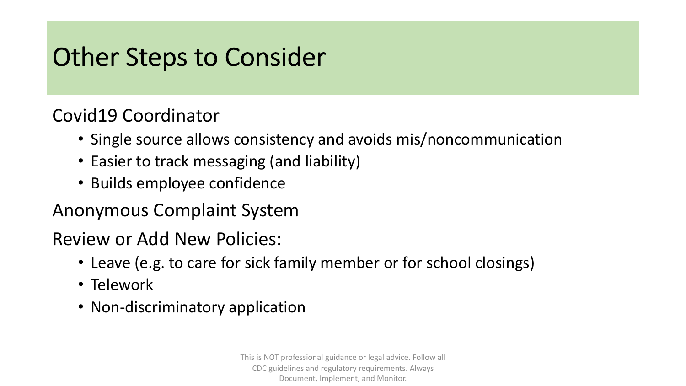## Other Steps to Consider

### Covid19 Coordinator

- Single source allows consistency and avoids mis/noncommunication
- Easier to track messaging (and liability)
- Builds employee confidence

### Anonymous Complaint System

### Review or Add New Policies:

- Leave (e.g. to care for sick family member or for school closings)
- Telework
- Non-discriminatory application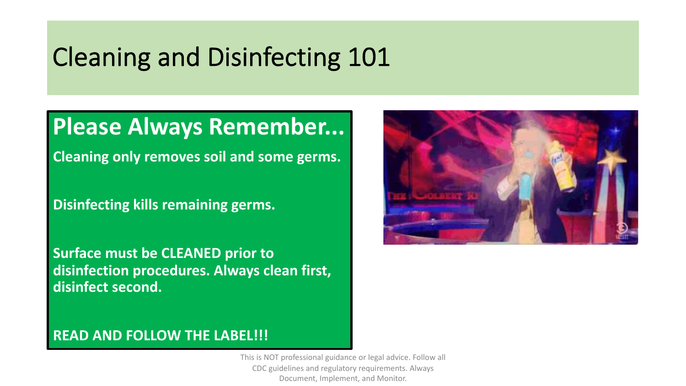### Cleaning and Disinfecting 101

### **Please Always Remember...**

**Cleaning only removes soil and some germs.** 

**Disinfecting kills remaining germs.** 

**Surface must be CLEANED prior to disinfection procedures. Always clean first, disinfect second.** 



### **READ AND FOLLOW THE LABEL!!!**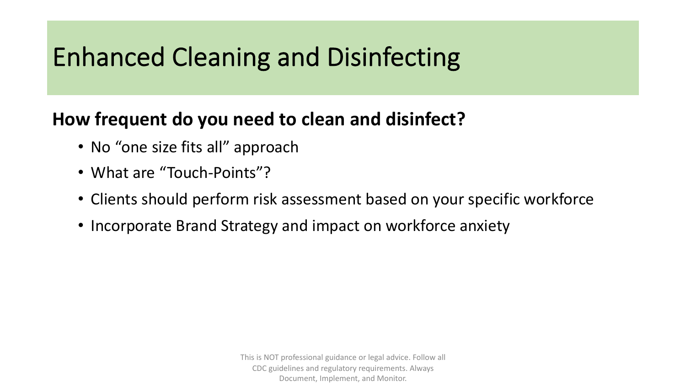# Enhanced Cleaning and Disinfecting

### **How frequent do you need to clean and disinfect?**

- No "one size fits all" approach
- What are "Touch-Points"?
- Clients should perform risk assessment based on your specific workforce
- Incorporate Brand Strategy and impact on workforce anxiety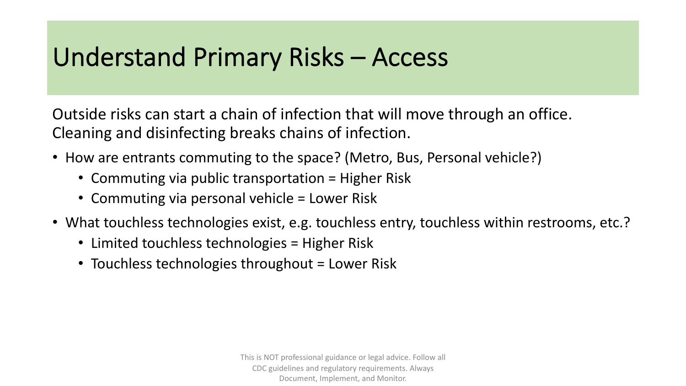## Understand Primary Risks – Access

Outside risks can start a chain of infection that will move through an office. Cleaning and disinfecting breaks chains of infection.

- How are entrants commuting to the space? (Metro, Bus, Personal vehicle?)
	- Commuting via public transportation = Higher Risk
	- Commuting via personal vehicle = Lower Risk
- What touchless technologies exist, e.g. touchless entry, touchless within restrooms, etc.?
	- Limited touchless technologies = Higher Risk
	- Touchless technologies throughout = Lower Risk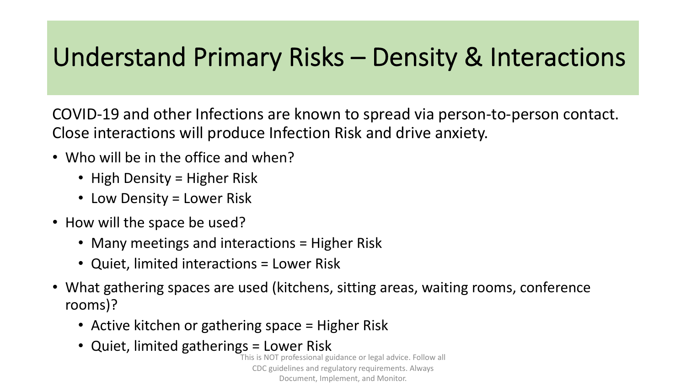## Understand Primary Risks – Density & Interactions

COVID-19 and other Infections are known to spread via person-to-person contact. Close interactions will produce Infection Risk and drive anxiety.

- Who will be in the office and when?
	- High Density = Higher Risk
	- Low Density = Lower Risk
- How will the space be used?
	- Many meetings and interactions = Higher Risk
	- Quiet, limited interactions = Lower Risk
- What gathering spaces are used (kitchens, sitting areas, waiting rooms, conference rooms)?
	- Active kitchen or gathering space = Higher Risk
	- Quiet, limited gatherings = Lower Risk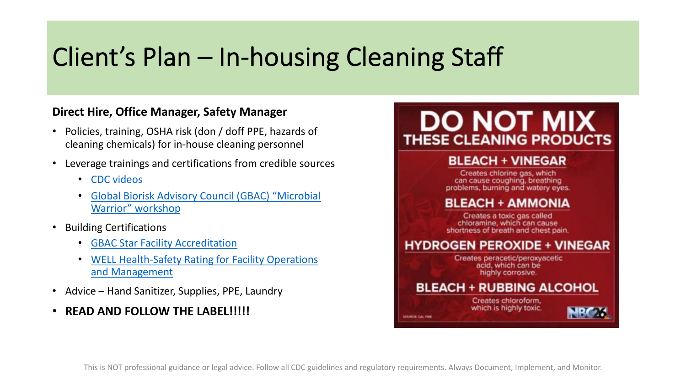## Client's Plan – In-housing Cleaning Staff

#### **Direct Hire, Office Manager, Safety Manager**

- Policies, training, OSHA risk (don / doff PPE, hazards of cleaning chemicals) for in-house cleaning personnel
- Leverage trainings and certifications from credible sources
	- [CDC videos](https://www.cdc.gov/coronavirus/2019-ncov/hcp/using-ppe.html)
	- Global Biorisk [Advisory Council \(GBAC\) "Microbial](https://online.issa.com/issassa/ecssashop.show_product_detail?p_mode=detail&p_product_serno=1515)  Warrior" workshop
- Building Certifications
	- [GBAC Star Facility Accreditation](https://gbac.issa.com/issa-gbac-star-facility-accreditation/)
	- [WELL Health-Safety Rating for Facility Operations](https://resources.wellcertified.com/articles/international-well-building-institute-launches-well-health-safety-rating-for-facility-operations-and-management-of-sports-and-entertainment-venues/) and Management
- Advice Hand Sanitizer, Supplies, PPE, Laundry
- **READ AND FOLLOW THE LABEL!!!!!**

### **DO NOT MIX THESE CLEANING PRODUCTS**

#### **BLEACH + VINEGAR**

Creates chlorine gas, which can cause coughing, breathing problems, burning and watery eyes.

#### **BLEACH + AMMONIA**

Creates a toxic gas called chloramine, which can cause shortness of breath and chest pain.

#### **HYDROGEN PEROXIDE + VINEGAR**

Creates peracetic/peroxyacetic acid, which can be highly corrosive.

#### **BLEACH + RUBBING ALCOHOL**

Creates chloroform, which is highly toxic.

SOURCE CAL FIRE

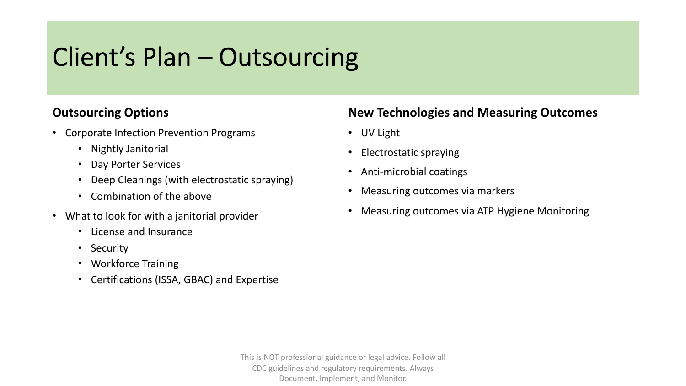## Client's Plan – Outsourcing

#### **Outsourcing Options**

- Corporate Infection Prevention Programs
	- Nightly Janitorial
	- Day Porter Services
	- Deep Cleanings (with electrostatic spraying)
	- Combination of the above
- What to look for with a janitorial provider
	- License and Insurance
	- Security
	- Workforce Training
	- Certifications (ISSA, GBAC) and Expertise

### **New Technologies and Measuring Outcomes**

- UV Light
- Electrostatic spraying
- Anti-microbial coatings
- Measuring outcomes via markers
- Measuring outcomes via ATP Hygiene Monitoring